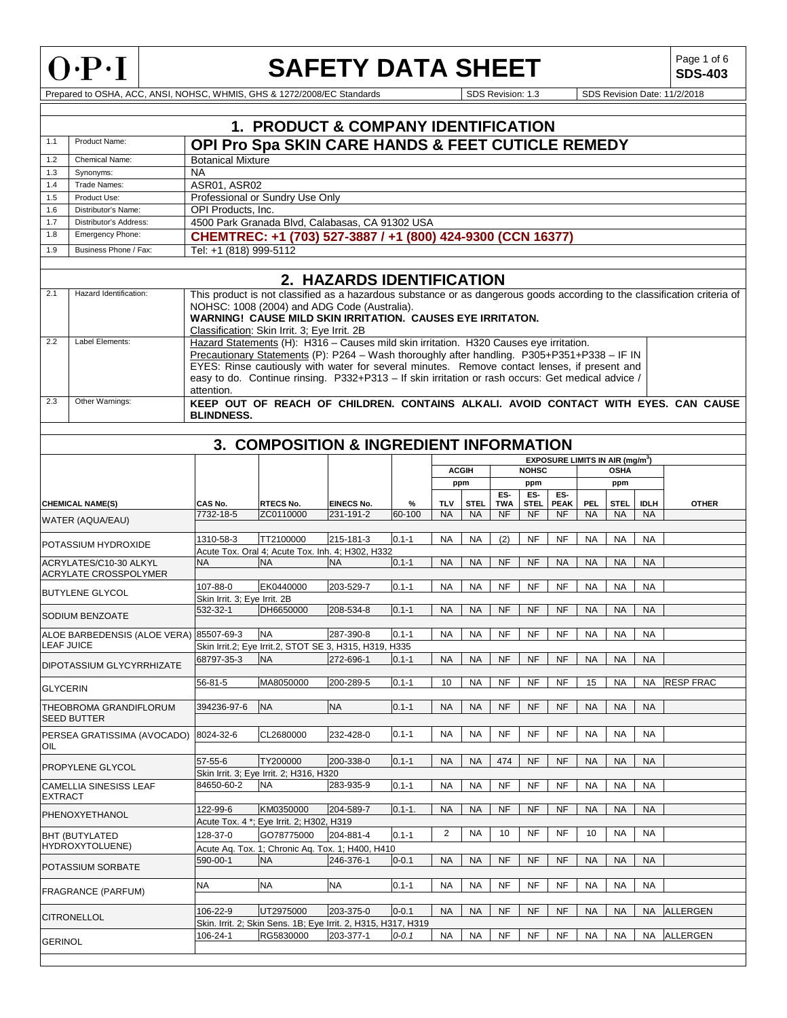

# **SAFETY DATA SHEET**

**SDS-403**

Prepared to OSHA, ACC, ANSI, NOHSC, WHMIS, GHS & 1272/2008/EC Standards SDS Revision: 1.3 SDS Revision Date: 11/2/2018

|                                          |                                              |                              | <b>1. PRODUCT &amp; COMPANY IDENTIFICATION</b>                                                                                                                                                                                                                                                                                                                                             |                           |            |           |              |                   |                    |                                                  |           |             |             |                                                                                                                           |
|------------------------------------------|----------------------------------------------|------------------------------|--------------------------------------------------------------------------------------------------------------------------------------------------------------------------------------------------------------------------------------------------------------------------------------------------------------------------------------------------------------------------------------------|---------------------------|------------|-----------|--------------|-------------------|--------------------|--------------------------------------------------|-----------|-------------|-------------|---------------------------------------------------------------------------------------------------------------------------|
| 1.1                                      | Product Name:                                |                              | OPI Pro Spa SKIN CARE HANDS & FEET CUTICLE REMEDY                                                                                                                                                                                                                                                                                                                                          |                           |            |           |              |                   |                    |                                                  |           |             |             |                                                                                                                           |
| 1.2                                      | Chemical Name:                               | <b>Botanical Mixture</b>     |                                                                                                                                                                                                                                                                                                                                                                                            |                           |            |           |              |                   |                    |                                                  |           |             |             |                                                                                                                           |
| 1.3                                      | Synonyms:                                    | <b>NA</b>                    |                                                                                                                                                                                                                                                                                                                                                                                            |                           |            |           |              |                   |                    |                                                  |           |             |             |                                                                                                                           |
| 1.4                                      | Trade Names:                                 | ASR01, ASR02                 |                                                                                                                                                                                                                                                                                                                                                                                            |                           |            |           |              |                   |                    |                                                  |           |             |             |                                                                                                                           |
| 1.5                                      | Product Use:                                 |                              | Professional or Sundry Use Only                                                                                                                                                                                                                                                                                                                                                            |                           |            |           |              |                   |                    |                                                  |           |             |             |                                                                                                                           |
| 1.6                                      | Distributor's Name:                          | <b>OPI Products. Inc.</b>    |                                                                                                                                                                                                                                                                                                                                                                                            |                           |            |           |              |                   |                    |                                                  |           |             |             |                                                                                                                           |
| 1.7<br>1.8                               | Distributor's Address:<br>Emergency Phone:   |                              | 4500 Park Granada Blvd, Calabasas, CA 91302 USA                                                                                                                                                                                                                                                                                                                                            |                           |            |           |              |                   |                    |                                                  |           |             |             |                                                                                                                           |
|                                          |                                              |                              | CHEMTREC: +1 (703) 527-3887 / +1 (800) 424-9300 (CCN 16377)                                                                                                                                                                                                                                                                                                                                |                           |            |           |              |                   |                    |                                                  |           |             |             |                                                                                                                           |
| 1.9                                      | Business Phone / Fax:                        | Tel: +1 (818) 999-5112       |                                                                                                                                                                                                                                                                                                                                                                                            |                           |            |           |              |                   |                    |                                                  |           |             |             |                                                                                                                           |
|                                          |                                              |                              |                                                                                                                                                                                                                                                                                                                                                                                            | 2. HAZARDS IDENTIFICATION |            |           |              |                   |                    |                                                  |           |             |             |                                                                                                                           |
| 2.1                                      | Hazard Identification:                       |                              | NOHSC: 1008 (2004) and ADG Code (Australia).<br><b>WARNING! CAUSE MILD SKIN IRRITATION. CAUSES EYE IRRITATON.</b><br>Classification: Skin Irrit. 3; Eye Irrit. 2B                                                                                                                                                                                                                          |                           |            |           |              |                   |                    |                                                  |           |             |             | This product is not classified as a hazardous substance or as dangerous goods according to the classification criteria of |
| 2.2<br>2.3                               | Label Elements:<br>Other Warnings:           | attention.                   | Hazard Statements (H): H316 - Causes mild skin irritation. H320 Causes eye irritation.<br>Precautionary Statements (P): P264 - Wash thoroughly after handling. P305+P351+P338 - IF IN<br>EYES: Rinse cautiously with water for several minutes. Remove contact lenses, if present and<br>easy to do. Continue rinsing. P332+P313 - If skin irritation or rash occurs: Get medical advice / |                           |            |           |              |                   |                    |                                                  |           |             |             |                                                                                                                           |
|                                          |                                              | <b>BLINDNESS.</b>            |                                                                                                                                                                                                                                                                                                                                                                                            |                           |            |           |              |                   |                    |                                                  |           |             |             | KEEP OUT OF REACH OF CHILDREN. CONTAINS ALKALI, AVOID CONTACT WITH EYES, CAN CAUSE                                        |
|                                          |                                              |                              | <b>3. COMPOSITION &amp; INGREDIENT INFORMATION</b>                                                                                                                                                                                                                                                                                                                                         |                           |            |           |              |                   |                    |                                                  |           |             |             |                                                                                                                           |
|                                          |                                              |                              |                                                                                                                                                                                                                                                                                                                                                                                            |                           |            |           |              |                   |                    | <b>EXPOSURE LIMITS IN AIR (mg/m<sup>3</sup>)</b> |           |             |             |                                                                                                                           |
|                                          |                                              |                              |                                                                                                                                                                                                                                                                                                                                                                                            |                           |            |           | <b>ACGIH</b> |                   | <b>NOHSC</b>       |                                                  |           | <b>OSHA</b> |             |                                                                                                                           |
|                                          |                                              |                              |                                                                                                                                                                                                                                                                                                                                                                                            |                           |            |           | ppm          |                   | ppm                |                                                  |           | ppm         |             |                                                                                                                           |
|                                          | <b>CHEMICAL NAME(S)</b>                      | CAS No.                      | <b>RTECS No.</b>                                                                                                                                                                                                                                                                                                                                                                           | <b>EINECS No.</b>         | %          | TLV       | <b>STEL</b>  | ES-<br><b>TWA</b> | ES-<br><b>STEL</b> | ES-<br><b>PEAK</b>                               | PEL       | <b>STEL</b> | <b>IDLH</b> | <b>OTHER</b>                                                                                                              |
|                                          | WATER (AQUA/EAU)                             | 7732-18-5                    | ZC0110000                                                                                                                                                                                                                                                                                                                                                                                  | 231-191-2                 | 60-100     | <b>NA</b> | <b>NA</b>    | NF                | NF                 | <b>NF</b>                                        | <b>NA</b> | <b>NA</b>   | <b>NA</b>   |                                                                                                                           |
|                                          |                                              |                              |                                                                                                                                                                                                                                                                                                                                                                                            |                           |            |           |              |                   |                    |                                                  |           |             |             |                                                                                                                           |
|                                          | POTASSIUM HYDROXIDE                          | 1310-58-3                    | TT2100000                                                                                                                                                                                                                                                                                                                                                                                  | 215-181-3                 | $0.1 - 1$  | <b>NA</b> | <b>NA</b>    | (2)               | <b>NF</b>          | <b>NF</b>                                        | <b>NA</b> | <b>NA</b>   | <b>NA</b>   |                                                                                                                           |
|                                          | ACRYLATES/C10-30 ALKYL                       | <b>NA</b>                    | Acute Tox. Oral 4; Acute Tox. Inh. 4; H302, H332<br><b>NA</b>                                                                                                                                                                                                                                                                                                                              | <b>NA</b>                 | $0.1 - 1$  | <b>NA</b> | <b>NA</b>    | NF                | NF                 | <b>NA</b>                                        | <b>NA</b> | <b>NA</b>   | <b>NA</b>   |                                                                                                                           |
|                                          | ACRYLATE CROSSPOLYMER                        |                              |                                                                                                                                                                                                                                                                                                                                                                                            |                           |            |           |              |                   |                    |                                                  |           |             |             |                                                                                                                           |
|                                          |                                              | 107-88-0                     | EK0440000                                                                                                                                                                                                                                                                                                                                                                                  | 203-529-7                 | $0.1 - 1$  | <b>NA</b> | <b>NA</b>    | <b>NF</b>         | <b>NF</b>          | <b>NF</b>                                        | <b>NA</b> | <b>NA</b>   | <b>NA</b>   |                                                                                                                           |
|                                          | <b>BUTYLENE GLYCOL</b>                       | Skin Irrit. 3; Eye Irrit. 2B |                                                                                                                                                                                                                                                                                                                                                                                            |                           |            |           |              |                   |                    |                                                  |           |             |             |                                                                                                                           |
|                                          | SODIUM BENZOATE                              | 532-32-1                     | DH6650000                                                                                                                                                                                                                                                                                                                                                                                  | 208-534-8                 | $0.1 - 1$  | <b>NA</b> | <b>NA</b>    | NF                | <b>NF</b>          | <b>NF</b>                                        | <b>NA</b> | <b>NA</b>   | <b>NA</b>   |                                                                                                                           |
|                                          |                                              |                              |                                                                                                                                                                                                                                                                                                                                                                                            |                           |            |           |              |                   |                    |                                                  |           |             |             |                                                                                                                           |
|                                          | ALOE BARBEDENSIS (ALOE VERA)                 | 85507-69-3                   | <b>NA</b>                                                                                                                                                                                                                                                                                                                                                                                  | 287-390-8                 | $0.1 - 1$  | <b>NA</b> | <b>NA</b>    | NF                | <b>NF</b>          | NF                                               | <b>NA</b> | <b>NA</b>   | <b>NA</b>   |                                                                                                                           |
| <b>LEAF JUICE</b>                        |                                              |                              | Skin Irrit.2; Eye Irrit.2, STOT SE 3, H315, H319, H335                                                                                                                                                                                                                                                                                                                                     |                           |            |           |              |                   |                    |                                                  |           |             |             |                                                                                                                           |
|                                          | DIPOTASSIUM GLYCYRRHIZATE                    | 68797-35-3                   | <b>NA</b>                                                                                                                                                                                                                                                                                                                                                                                  | 272-696-1                 | $0.1 - 1$  | <b>NA</b> | <b>NA</b>    | NF                | NF                 | <b>NF</b>                                        | <b>NA</b> | <b>NA</b>   | <b>NA</b>   |                                                                                                                           |
| <b>GLYCERIN</b>                          |                                              | $56 - 81 - 5$                | MA8050000                                                                                                                                                                                                                                                                                                                                                                                  | 200-289-5                 | $0.1 - 1$  | 10        | <b>NA</b>    | NF                | NF                 | NF                                               | 15        | <b>NA</b>   |             | NA RESP FRAC                                                                                                              |
|                                          | THEOBROMA GRANDIFLORUM<br><b>SEED BUTTER</b> | 394236-97-6                  | <b>NA</b>                                                                                                                                                                                                                                                                                                                                                                                  | <b>NA</b>                 | $0.1 - 1$  | <b>NA</b> | <b>NA</b>    | NF                | NF                 | <b>NF</b>                                        | <b>NA</b> | <b>NA</b>   | <b>NA</b>   |                                                                                                                           |
| OIL                                      | PERSEA GRATISSIMA (AVOCADO)                  | 8024-32-6                    | CL2680000                                                                                                                                                                                                                                                                                                                                                                                  | 232-428-0                 | $0.1 - 1$  | <b>NA</b> | <b>NA</b>    | <b>NF</b>         | <b>NF</b>          | <b>NF</b>                                        | <b>NA</b> | <b>NA</b>   | <b>NA</b>   |                                                                                                                           |
|                                          | PROPYLENE GLYCOL                             | 57-55-6                      | TY200000                                                                                                                                                                                                                                                                                                                                                                                   | 200-338-0                 | $0.1 - 1$  | <b>NA</b> | <b>NA</b>    | 474               | <b>NF</b>          | NF                                               | <b>NA</b> | <b>NA</b>   | <b>NA</b>   |                                                                                                                           |
|                                          | CAMELLIA SINESISS LEAF                       | 84650-60-2                   | Skin Irrit. 3; Eye Irrit. 2; H316, H320<br><b>NA</b>                                                                                                                                                                                                                                                                                                                                       | 283-935-9                 | $0.1 - 1$  | <b>NA</b> | <b>NA</b>    | <b>NF</b>         | <b>NF</b>          | NF                                               | <b>NA</b> | <b>NA</b>   | NA          |                                                                                                                           |
| <b>EXTRACT</b><br>PHENOXYETHANOL         |                                              | 122-99-6                     | KM0350000                                                                                                                                                                                                                                                                                                                                                                                  | 204-589-7                 | $0.1 - 1.$ | <b>NA</b> | <b>NA</b>    | <b>NF</b>         | <b>NF</b>          | <b>NF</b>                                        | <b>NA</b> | <b>NA</b>   | <b>NA</b>   |                                                                                                                           |
| <b>BHT (BUTYLATED</b><br>HYDROXYTOLUENE) |                                              | 128-37-0                     | Acute Tox. 4 *; Eye Irrit. 2; H302, H319<br>GO78775000                                                                                                                                                                                                                                                                                                                                     | 204-881-4                 | $0.1 - 1$  | 2         | <b>NA</b>    | 10                | <b>NF</b>          | <b>NF</b>                                        | 10        | <b>NA</b>   | <b>NA</b>   |                                                                                                                           |
|                                          |                                              |                              | Acute Aq. Tox. 1; Chronic Aq. Tox. 1; H400, H410                                                                                                                                                                                                                                                                                                                                           |                           |            |           |              |                   |                    |                                                  |           |             |             |                                                                                                                           |
|                                          |                                              | 590-00-1                     | <b>NA</b>                                                                                                                                                                                                                                                                                                                                                                                  | 246-376-1                 | $0 - 0.1$  | <b>NA</b> | <b>NA</b>    | <b>NF</b>         | <b>NF</b>          | <b>NF</b>                                        | <b>NA</b> | <b>NA</b>   | <b>NA</b>   |                                                                                                                           |
|                                          | POTASSIUM SORBATE                            |                              |                                                                                                                                                                                                                                                                                                                                                                                            |                           |            |           |              |                   |                    |                                                  |           |             |             |                                                                                                                           |
|                                          | <b>FRAGRANCE (PARFUM)</b>                    | <b>NA</b>                    | <b>NA</b>                                                                                                                                                                                                                                                                                                                                                                                  | <b>NA</b>                 | $0.1 - 1$  | <b>NA</b> | <b>NA</b>    | <b>NF</b>         | <b>NF</b>          | <b>NF</b>                                        | <b>NA</b> | <b>NA</b>   | <b>NA</b>   |                                                                                                                           |
|                                          |                                              | 106-22-9                     | UT2975000                                                                                                                                                                                                                                                                                                                                                                                  | 203-375-0                 | $0 - 0.1$  | <b>NA</b> | <b>NA</b>    | NF                | <b>NF</b>          | NF                                               | <b>NA</b> | <b>NA</b>   | <b>NA</b>   | <b>ALLERGEN</b>                                                                                                           |
|                                          | <b>CITRONELLOL</b>                           |                              | Skin. Irrit. 2; Skin Sens. 1B; Eye Irrit. 2, H315, H317, H319                                                                                                                                                                                                                                                                                                                              |                           |            |           |              |                   |                    |                                                  |           |             |             |                                                                                                                           |
|                                          |                                              | 106-24-1                     | RG5830000                                                                                                                                                                                                                                                                                                                                                                                  | 203-377-1                 | $0 - 0.1$  | <b>NA</b> | <b>NA</b>    | <b>NF</b>         | <b>NF</b>          | <b>NF</b>                                        | <b>NA</b> | <b>NA</b>   | <b>NA</b>   | <b>ALLERGEN</b>                                                                                                           |
| <b>GERINOL</b>                           |                                              |                              |                                                                                                                                                                                                                                                                                                                                                                                            |                           |            |           |              |                   |                    |                                                  |           |             |             |                                                                                                                           |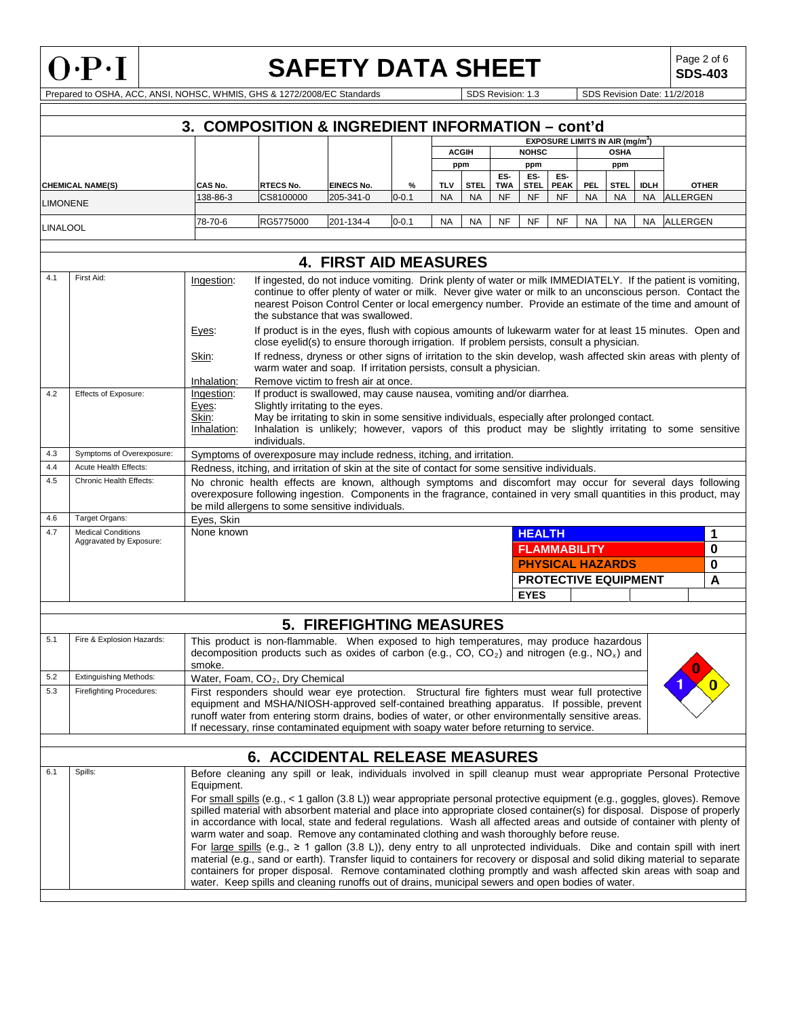

# **SAFETY DATA SHEET**

**SDS-403**

Prepared to OSHA, ACC, ANSI, NOHSC, WHMIS, GHS & 1272/2008/EC Standards SDS Revision: 1.3 SDS Revision: 1.3 SDS Revision Date: 11/2/2018

|                 |                                 |                          | 3. COMPOSITION & INGREDIENT INFORMATION - cont'd                                                                                                                                                                                                 |                                 |           |            |              |                   |                             |                                             |           |             |             |                 |              |
|-----------------|---------------------------------|--------------------------|--------------------------------------------------------------------------------------------------------------------------------------------------------------------------------------------------------------------------------------------------|---------------------------------|-----------|------------|--------------|-------------------|-----------------------------|---------------------------------------------|-----------|-------------|-------------|-----------------|--------------|
|                 |                                 |                          |                                                                                                                                                                                                                                                  |                                 |           |            |              |                   |                             | EXPOSURE LIMITS IN AIR (mg/m <sup>3</sup> ) |           |             |             |                 |              |
|                 |                                 |                          |                                                                                                                                                                                                                                                  |                                 |           |            | <b>ACGIH</b> |                   | <b>NOHSC</b>                |                                             |           | <b>OSHA</b> |             |                 |              |
|                 |                                 |                          |                                                                                                                                                                                                                                                  |                                 |           |            | ppm          |                   | ppm                         |                                             |           | ppm         |             |                 |              |
|                 | <b>CHEMICAL NAME(S)</b>         | <b>CAS No.</b>           | <b>RTECS No.</b>                                                                                                                                                                                                                                 | <b>EINECS No.</b>               | %         | <b>TLV</b> | <b>STEL</b>  | ES-<br><b>TWA</b> | ES-<br><b>STEL</b>          | ES-<br><b>PEAK</b>                          | PEL       | <b>STEL</b> | <b>IDLH</b> |                 | <b>OTHER</b> |
| <b>LIMONENE</b> |                                 | 138-86-3                 | CS8100000                                                                                                                                                                                                                                        | 205-341-0                       | $0 - 0.1$ | <b>NA</b>  | <b>NA</b>    | <b>NF</b>         | <b>NF</b>                   | <b>NF</b>                                   | <b>NA</b> | <b>NA</b>   | NA.         | ALLERGEN        |              |
|                 |                                 |                          |                                                                                                                                                                                                                                                  |                                 |           |            |              |                   |                             |                                             |           |             |             |                 |              |
| <b>LINALOOL</b> |                                 | 78-70-6                  | RG5775000                                                                                                                                                                                                                                        | 201-134-4                       | $0 - 0.1$ | NA         | NA           | <b>NF</b>         | NF                          | <b>NF</b>                                   | <b>NA</b> | <b>NA</b>   | NA          | <b>ALLERGEN</b> |              |
|                 |                                 |                          |                                                                                                                                                                                                                                                  |                                 |           |            |              |                   |                             |                                             |           |             |             |                 |              |
|                 |                                 |                          |                                                                                                                                                                                                                                                  | <b>4. FIRST AID MEASURES</b>    |           |            |              |                   |                             |                                             |           |             |             |                 |              |
| 4.1             | First Aid:                      | Ingestion:               | If ingested, do not induce vomiting. Drink plenty of water or milk IMMEDIATELY. If the patient is vomiting,                                                                                                                                      |                                 |           |            |              |                   |                             |                                             |           |             |             |                 |              |
|                 |                                 |                          | continue to offer plenty of water or milk. Never give water or milk to an unconscious person. Contact the                                                                                                                                        |                                 |           |            |              |                   |                             |                                             |           |             |             |                 |              |
|                 |                                 |                          | nearest Poison Control Center or local emergency number. Provide an estimate of the time and amount of                                                                                                                                           |                                 |           |            |              |                   |                             |                                             |           |             |             |                 |              |
|                 |                                 |                          | the substance that was swallowed.                                                                                                                                                                                                                |                                 |           |            |              |                   |                             |                                             |           |             |             |                 |              |
|                 |                                 | Eyes:                    | If product is in the eyes, flush with copious amounts of lukewarm water for at least 15 minutes. Open and<br>close eyelid(s) to ensure thorough irrigation. If problem persists, consult a physician.                                            |                                 |           |            |              |                   |                             |                                             |           |             |             |                 |              |
|                 |                                 | Skin:                    | If redness, dryness or other signs of irritation to the skin develop, wash affected skin areas with plenty of                                                                                                                                    |                                 |           |            |              |                   |                             |                                             |           |             |             |                 |              |
|                 |                                 |                          | warm water and soap. If irritation persists, consult a physician.                                                                                                                                                                                |                                 |           |            |              |                   |                             |                                             |           |             |             |                 |              |
|                 |                                 | Inhalation:              | Remove victim to fresh air at once.                                                                                                                                                                                                              |                                 |           |            |              |                   |                             |                                             |           |             |             |                 |              |
| 4.2             | Effects of Exposure:            | Ingestion:               | If product is swallowed, may cause nausea, vomiting and/or diarrhea.                                                                                                                                                                             |                                 |           |            |              |                   |                             |                                             |           |             |             |                 |              |
|                 |                                 | Eyes:<br>Skin:           | Slightly irritating to the eyes.<br>May be irritating to skin in some sensitive individuals, especially after prolonged contact.                                                                                                                 |                                 |           |            |              |                   |                             |                                             |           |             |             |                 |              |
|                 |                                 | Inhalation:              | Inhalation is unlikely; however, vapors of this product may be slightly irritating to some sensitive                                                                                                                                             |                                 |           |            |              |                   |                             |                                             |           |             |             |                 |              |
|                 |                                 |                          | individuals.                                                                                                                                                                                                                                     |                                 |           |            |              |                   |                             |                                             |           |             |             |                 |              |
| 4.3             | Symptoms of Overexposure:       |                          | Symptoms of overexposure may include redness, itching, and irritation.                                                                                                                                                                           |                                 |           |            |              |                   |                             |                                             |           |             |             |                 |              |
| 4.4             | <b>Acute Health Effects:</b>    |                          | Redness, itching, and irritation of skin at the site of contact for some sensitive individuals.                                                                                                                                                  |                                 |           |            |              |                   |                             |                                             |           |             |             |                 |              |
| 4.5             | Chronic Health Effects:         |                          | No chronic health effects are known, although symptoms and discomfort may occur for several days following                                                                                                                                       |                                 |           |            |              |                   |                             |                                             |           |             |             |                 |              |
|                 |                                 |                          | overexposure following ingestion. Components in the fragrance, contained in very small quantities in this product, may                                                                                                                           |                                 |           |            |              |                   |                             |                                             |           |             |             |                 |              |
| 4.6             | Target Organs:                  |                          | be mild allergens to some sensitive individuals.                                                                                                                                                                                                 |                                 |           |            |              |                   |                             |                                             |           |             |             |                 |              |
| 4.7             | <b>Medical Conditions</b>       | Eyes, Skin<br>None known |                                                                                                                                                                                                                                                  |                                 |           |            |              |                   | <b>HEALTH</b>               |                                             |           |             |             |                 | 1            |
|                 | Aggravated by Exposure:         |                          |                                                                                                                                                                                                                                                  |                                 |           |            |              |                   |                             |                                             |           |             |             |                 |              |
|                 |                                 |                          |                                                                                                                                                                                                                                                  |                                 |           |            |              |                   | <b>FLAMMABILITY</b>         |                                             |           |             |             |                 | 0            |
|                 |                                 |                          |                                                                                                                                                                                                                                                  |                                 |           |            |              |                   | <b>PHYSICAL HAZARDS</b>     |                                             |           |             |             |                 | 0            |
|                 |                                 |                          |                                                                                                                                                                                                                                                  |                                 |           |            |              |                   | <b>PROTECTIVE EQUIPMENT</b> |                                             |           |             |             |                 | А            |
|                 |                                 |                          |                                                                                                                                                                                                                                                  |                                 |           |            |              |                   | <b>EYES</b>                 |                                             |           |             |             |                 |              |
|                 |                                 |                          |                                                                                                                                                                                                                                                  | <b>5. FIREFIGHTING MEASURES</b> |           |            |              |                   |                             |                                             |           |             |             |                 |              |
| 5.1             | Fire & Explosion Hazards:       |                          | This product is non-flammable. When exposed to high temperatures, may produce hazardous                                                                                                                                                          |                                 |           |            |              |                   |                             |                                             |           |             |             |                 |              |
|                 |                                 |                          | decomposition products such as oxides of carbon (e.g., CO, CO <sub>2</sub> ) and nitrogen (e.g., NO <sub>x</sub> ) and                                                                                                                           |                                 |           |            |              |                   |                             |                                             |           |             |             |                 |              |
|                 |                                 | smoke.                   |                                                                                                                                                                                                                                                  |                                 |           |            |              |                   |                             |                                             |           |             |             |                 |              |
| 5.2             | <b>Extinguishing Methods:</b>   |                          | Water, Foam, CO <sub>2</sub> , Dry Chemical                                                                                                                                                                                                      |                                 |           |            |              |                   |                             |                                             |           |             |             |                 |              |
| 5.3             | <b>Firefighting Procedures:</b> |                          | First responders should wear eye protection. Structural fire fighters must wear full protective                                                                                                                                                  |                                 |           |            |              |                   |                             |                                             |           |             |             |                 |              |
|                 |                                 |                          | equipment and MSHA/NIOSH-approved self-contained breathing apparatus. If possible, prevent                                                                                                                                                       |                                 |           |            |              |                   |                             |                                             |           |             |             |                 |              |
|                 |                                 |                          | runoff water from entering storm drains, bodies of water, or other environmentally sensitive areas.<br>If necessary, rinse contaminated equipment with soapy water before returning to service.                                                  |                                 |           |            |              |                   |                             |                                             |           |             |             |                 |              |
|                 |                                 |                          |                                                                                                                                                                                                                                                  |                                 |           |            |              |                   |                             |                                             |           |             |             |                 |              |
|                 |                                 |                          | <b>6. ACCIDENTAL RELEASE MEASURES</b>                                                                                                                                                                                                            |                                 |           |            |              |                   |                             |                                             |           |             |             |                 |              |
| 6.1             | Spills:                         |                          | Before cleaning any spill or leak, individuals involved in spill cleanup must wear appropriate Personal Protective                                                                                                                               |                                 |           |            |              |                   |                             |                                             |           |             |             |                 |              |
|                 |                                 | Equipment.               |                                                                                                                                                                                                                                                  |                                 |           |            |              |                   |                             |                                             |           |             |             |                 |              |
|                 |                                 |                          | For small spills (e.g., < 1 gallon (3.8 L)) wear appropriate personal protective equipment (e.g., goggles, gloves). Remove                                                                                                                       |                                 |           |            |              |                   |                             |                                             |           |             |             |                 |              |
|                 |                                 |                          | spilled material with absorbent material and place into appropriate closed container(s) for disposal. Dispose of properly                                                                                                                        |                                 |           |            |              |                   |                             |                                             |           |             |             |                 |              |
|                 |                                 |                          | in accordance with local, state and federal regulations. Wash all affected areas and outside of container with plenty of                                                                                                                         |                                 |           |            |              |                   |                             |                                             |           |             |             |                 |              |
|                 |                                 |                          | warm water and soap. Remove any contaminated clothing and wash thoroughly before reuse.                                                                                                                                                          |                                 |           |            |              |                   |                             |                                             |           |             |             |                 |              |
|                 |                                 |                          | For large spills (e.g., $\geq 1$ gallon (3.8 L)), deny entry to all unprotected individuals. Dike and contain spill with inert                                                                                                                   |                                 |           |            |              |                   |                             |                                             |           |             |             |                 |              |
|                 |                                 |                          | material (e.g., sand or earth). Transfer liquid to containers for recovery or disposal and solid diking material to separate<br>containers for proper disposal. Remove contaminated clothing promptly and wash affected skin areas with soap and |                                 |           |            |              |                   |                             |                                             |           |             |             |                 |              |
|                 |                                 |                          | water. Keep spills and cleaning runoffs out of drains, municipal sewers and open bodies of water.                                                                                                                                                |                                 |           |            |              |                   |                             |                                             |           |             |             |                 |              |
|                 |                                 |                          |                                                                                                                                                                                                                                                  |                                 |           |            |              |                   |                             |                                             |           |             |             |                 |              |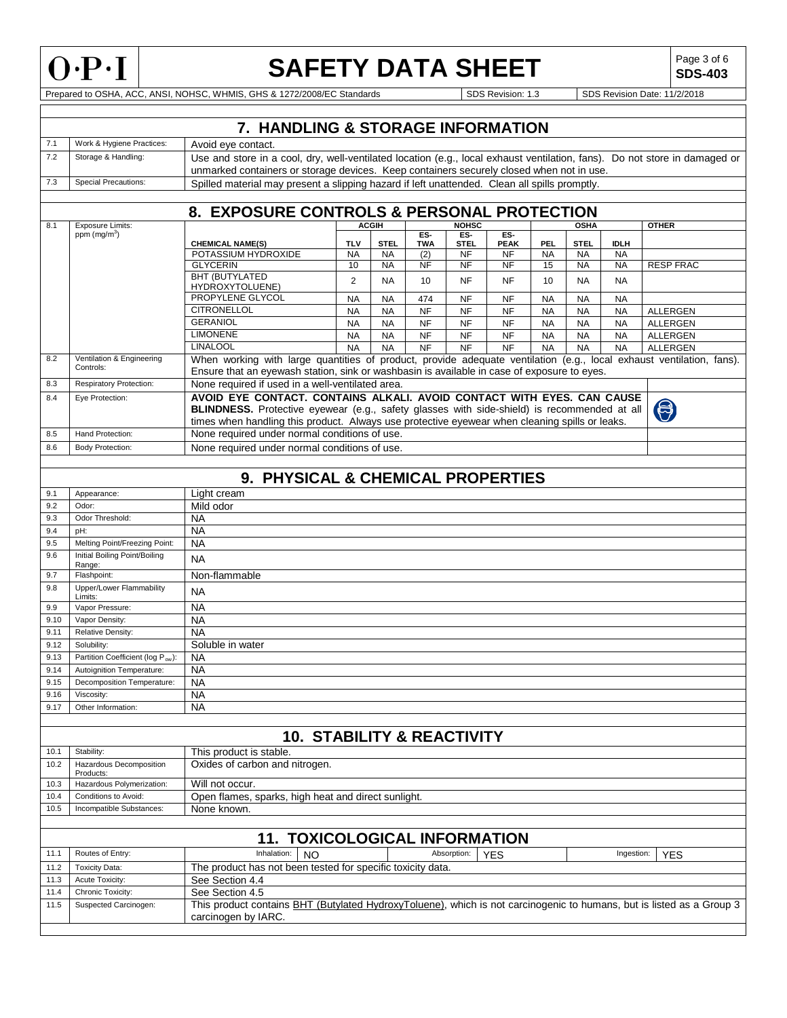

# **SAFETY DATA SHEET**  $\left|\begin{array}{c} \text{Page 3 of 6} \\ \text{SDS-403} \end{array}\right|$

**SDS-403**

Prepared to OSHA, ACC, ANSI, NOHSC, WHMIS, GHS & 1272/2008/EC Standards SDS Revision: 1.3 SDS Revision Date: 11/2/2018

|              | 7. HANDLING & STORAGE INFORMATION       |                                                                                                                                                                                                                                                                         |                 |                 |            |                        |                        |                 |                        |                        |                  |
|--------------|-----------------------------------------|-------------------------------------------------------------------------------------------------------------------------------------------------------------------------------------------------------------------------------------------------------------------------|-----------------|-----------------|------------|------------------------|------------------------|-----------------|------------------------|------------------------|------------------|
| 7.1          | Work & Hygiene Practices:               | Avoid eye contact.                                                                                                                                                                                                                                                      |                 |                 |            |                        |                        |                 |                        |                        |                  |
| 7.2          | Storage & Handling:                     | Use and store in a cool, dry, well-ventilated location (e.g., local exhaust ventilation, fans). Do not store in damaged or<br>unmarked containers or storage devices. Keep containers securely closed when not in use.                                                  |                 |                 |            |                        |                        |                 |                        |                        |                  |
| 7.3          | <b>Special Precautions:</b>             | Spilled material may present a slipping hazard if left unattended. Clean all spills promptly.                                                                                                                                                                           |                 |                 |            |                        |                        |                 |                        |                        |                  |
|              |                                         |                                                                                                                                                                                                                                                                         |                 |                 |            |                        |                        |                 |                        |                        |                  |
|              |                                         | 8. EXPOSURE CONTROLS & PERSONAL PROTECTION                                                                                                                                                                                                                              |                 |                 |            |                        |                        |                 |                        |                        |                  |
| 8.1          | <b>Exposure Limits:</b>                 |                                                                                                                                                                                                                                                                         |                 | <b>ACGIH</b>    |            | <b>NOHSC</b>           |                        |                 | <b>OSHA</b>            |                        | <b>OTHER</b>     |
|              | ppm (mg/m <sup>3</sup> )                |                                                                                                                                                                                                                                                                         |                 |                 | ES-        | ES-                    | ES-                    |                 |                        |                        |                  |
|              |                                         | <b>CHEMICAL NAME(S)</b>                                                                                                                                                                                                                                                 | <b>TLV</b>      | <b>STEL</b>     | <b>TWA</b> | <b>STEL</b>            | <b>PEAK</b>            | PEL.            | <b>STEL</b>            | <b>IDLH</b>            |                  |
|              |                                         | POTASSIUM HYDROXIDE<br><b>GLYCERIN</b>                                                                                                                                                                                                                                  | <b>NA</b><br>10 | <b>NA</b><br>ΝA | (2)<br>NF  | <b>NF</b><br><b>NF</b> | <b>NF</b><br><b>NF</b> | <b>NA</b><br>15 | <b>NA</b><br><b>NA</b> | <b>NA</b><br><b>NA</b> | <b>RESP FRAC</b> |
|              |                                         | <b>BHT (BUTYLATED</b>                                                                                                                                                                                                                                                   |                 |                 |            |                        |                        |                 |                        |                        |                  |
|              |                                         | HYDROXYTOLUENE)                                                                                                                                                                                                                                                         | $\overline{2}$  | <b>NA</b>       | 10         | <b>NF</b>              | NF                     | 10              | <b>NA</b>              | <b>NA</b>              |                  |
|              |                                         | PROPYLENE GLYCOL                                                                                                                                                                                                                                                        | NA              | <b>NA</b>       | 474        | NF                     | NF                     | <b>NA</b>       | <b>NA</b>              | NA                     |                  |
|              |                                         | <b>CITRONELLOL</b>                                                                                                                                                                                                                                                      | <b>NA</b>       | <b>NA</b>       | <b>NF</b>  | <b>NF</b>              | <b>NF</b>              | <b>NA</b>       | <b>NA</b>              | <b>NA</b>              | ALLERGEN         |
|              |                                         | <b>GERANIOL</b>                                                                                                                                                                                                                                                         | <b>NA</b>       | <b>NA</b>       | <b>NF</b>  | <b>NF</b>              | <b>NF</b>              | <b>NA</b>       | <b>NA</b>              | <b>NA</b>              | <b>ALLERGEN</b>  |
|              |                                         | <b>LIMONENE</b>                                                                                                                                                                                                                                                         | <b>NA</b>       | <b>NA</b>       | <b>NF</b>  | <b>NF</b>              | NF                     | <b>NA</b>       | <b>NA</b>              | <b>NA</b>              | ALLERGEN         |
|              |                                         | <b>LINALOOL</b>                                                                                                                                                                                                                                                         | <b>NA</b>       | <b>NA</b>       | <b>NF</b>  | <b>NF</b>              | <b>NF</b>              | <b>NA</b>       | <b>NA</b>              | <b>NA</b>              | <b>ALLERGEN</b>  |
| 8.2          | Ventilation & Engineering               | When working with large quantities of product, provide adequate ventilation (e.g., local exhaust ventilation, fans).                                                                                                                                                    |                 |                 |            |                        |                        |                 |                        |                        |                  |
|              | Controls:                               | Ensure that an eyewash station, sink or washbasin is available in case of exposure to eyes.                                                                                                                                                                             |                 |                 |            |                        |                        |                 |                        |                        |                  |
| 8.3          | Respiratory Protection:                 | None required if used in a well-ventilated area.                                                                                                                                                                                                                        |                 |                 |            |                        |                        |                 |                        |                        |                  |
| 8.4          | Eye Protection:                         | AVOID EYE CONTACT. CONTAINS ALKALI. AVOID CONTACT WITH EYES. CAN CAUSE<br>BLINDNESS. Protective eyewear (e.g., safety glasses with side-shield) is recommended at all<br>times when handling this product. Always use protective eyewear when cleaning spills or leaks. |                 |                 |            |                        |                        |                 |                        |                        | $\bigcirc$       |
| 8.5          | Hand Protection:                        | None required under normal conditions of use.                                                                                                                                                                                                                           |                 |                 |            |                        |                        |                 |                        |                        |                  |
| 8.6          | <b>Body Protection:</b>                 | None required under normal conditions of use.                                                                                                                                                                                                                           |                 |                 |            |                        |                        |                 |                        |                        |                  |
|              |                                         |                                                                                                                                                                                                                                                                         |                 |                 |            |                        |                        |                 |                        |                        |                  |
|              |                                         |                                                                                                                                                                                                                                                                         |                 |                 |            |                        |                        |                 |                        |                        |                  |
|              |                                         | 9. PHYSICAL & CHEMICAL PROPERTIES                                                                                                                                                                                                                                       |                 |                 |            |                        |                        |                 |                        |                        |                  |
| 9.1          | Appearance:                             | Light cream                                                                                                                                                                                                                                                             |                 |                 |            |                        |                        |                 |                        |                        |                  |
| 9.2          | Odor:                                   | Mild odor                                                                                                                                                                                                                                                               |                 |                 |            |                        |                        |                 |                        |                        |                  |
| 9.3          | Odor Threshold:                         | NA                                                                                                                                                                                                                                                                      |                 |                 |            |                        |                        |                 |                        |                        |                  |
| 9.4          | pH:                                     | <b>NA</b>                                                                                                                                                                                                                                                               |                 |                 |            |                        |                        |                 |                        |                        |                  |
| 9.5          | Melting Point/Freezing Point:           | <b>NA</b>                                                                                                                                                                                                                                                               |                 |                 |            |                        |                        |                 |                        |                        |                  |
| 9.6          | Initial Boiling Point/Boiling<br>Range: | <b>NA</b>                                                                                                                                                                                                                                                               |                 |                 |            |                        |                        |                 |                        |                        |                  |
| 9.7          | Flashpoint:                             | Non-flammable                                                                                                                                                                                                                                                           |                 |                 |            |                        |                        |                 |                        |                        |                  |
| 9.8          | Upper/Lower Flammability<br>Limits:     | <b>NA</b>                                                                                                                                                                                                                                                               |                 |                 |            |                        |                        |                 |                        |                        |                  |
| 9.9          | Vapor Pressure:                         | <b>NA</b>                                                                                                                                                                                                                                                               |                 |                 |            |                        |                        |                 |                        |                        |                  |
| 9.10         | Vapor Density:                          | NA                                                                                                                                                                                                                                                                      |                 |                 |            |                        |                        |                 |                        |                        |                  |
| 9.11         | Relative Density:                       | <b>NA</b>                                                                                                                                                                                                                                                               |                 |                 |            |                        |                        |                 |                        |                        |                  |
| 9.12         | Solubility:                             | Soluble in water                                                                                                                                                                                                                                                        |                 |                 |            |                        |                        |                 |                        |                        |                  |
| 9.13         | Partition Coefficient (log Pow):        | <b>NA</b>                                                                                                                                                                                                                                                               |                 |                 |            |                        |                        |                 |                        |                        |                  |
| 9.14         | Autoignition Temperature:               | <b>NA</b>                                                                                                                                                                                                                                                               |                 |                 |            |                        |                        |                 |                        |                        |                  |
| 9.15         | Decomposition Temperature:              | <b>NA</b>                                                                                                                                                                                                                                                               |                 |                 |            |                        |                        |                 |                        |                        |                  |
| 9.16         | Viscosity:                              | <b>NA</b>                                                                                                                                                                                                                                                               |                 |                 |            |                        |                        |                 |                        |                        |                  |
| 9.17         | Other Information:                      | <b>NA</b>                                                                                                                                                                                                                                                               |                 |                 |            |                        |                        |                 |                        |                        |                  |
|              |                                         |                                                                                                                                                                                                                                                                         |                 |                 |            |                        |                        |                 |                        |                        |                  |
|              |                                         | <b>10. STABILITY &amp; REACTIVITY</b>                                                                                                                                                                                                                                   |                 |                 |            |                        |                        |                 |                        |                        |                  |
| 10.1         | Stability:                              | This product is stable.                                                                                                                                                                                                                                                 |                 |                 |            |                        |                        |                 |                        |                        |                  |
| 10.2         | Hazardous Decomposition                 | Oxides of carbon and nitrogen.                                                                                                                                                                                                                                          |                 |                 |            |                        |                        |                 |                        |                        |                  |
| 10.3         | Products:<br>Hazardous Polymerization:  |                                                                                                                                                                                                                                                                         |                 |                 |            |                        |                        |                 |                        |                        |                  |
| 10.4         | Conditions to Avoid:                    | Will not occur.<br>Open flames, sparks, high heat and direct sunlight.                                                                                                                                                                                                  |                 |                 |            |                        |                        |                 |                        |                        |                  |
| 10.5         | Incompatible Substances:                | None known.                                                                                                                                                                                                                                                             |                 |                 |            |                        |                        |                 |                        |                        |                  |
|              |                                         |                                                                                                                                                                                                                                                                         |                 |                 |            |                        |                        |                 |                        |                        |                  |
|              |                                         |                                                                                                                                                                                                                                                                         |                 |                 |            |                        |                        |                 |                        |                        |                  |
|              |                                         | <b>TOXICOLOGICAL INFORMATION</b><br>11.<br>Inhalation:                                                                                                                                                                                                                  |                 |                 |            | Absorption:            |                        |                 |                        |                        |                  |
| 11.1         | Routes of Entry:                        | <b>NO</b>                                                                                                                                                                                                                                                               |                 |                 |            |                        | <b>YES</b>             |                 |                        | Ingestion:             | <b>YES</b>       |
| 11.2         | <b>Toxicity Data:</b>                   | The product has not been tested for specific toxicity data.                                                                                                                                                                                                             |                 |                 |            |                        |                        |                 |                        |                        |                  |
| 11.3         | Acute Toxicity:                         | See Section 4.4<br>See Section 4.5                                                                                                                                                                                                                                      |                 |                 |            |                        |                        |                 |                        |                        |                  |
| 11.4<br>11.5 | Chronic Toxicity:                       | This product contains BHT (Butylated HydroxyToluene), which is not carcinogenic to humans, but is listed as a Group 3                                                                                                                                                   |                 |                 |            |                        |                        |                 |                        |                        |                  |
|              | Suspected Carcinogen:                   | carcinogen by IARC.                                                                                                                                                                                                                                                     |                 |                 |            |                        |                        |                 |                        |                        |                  |
|              |                                         |                                                                                                                                                                                                                                                                         |                 |                 |            |                        |                        |                 |                        |                        |                  |
|              |                                         |                                                                                                                                                                                                                                                                         |                 |                 |            |                        |                        |                 |                        |                        |                  |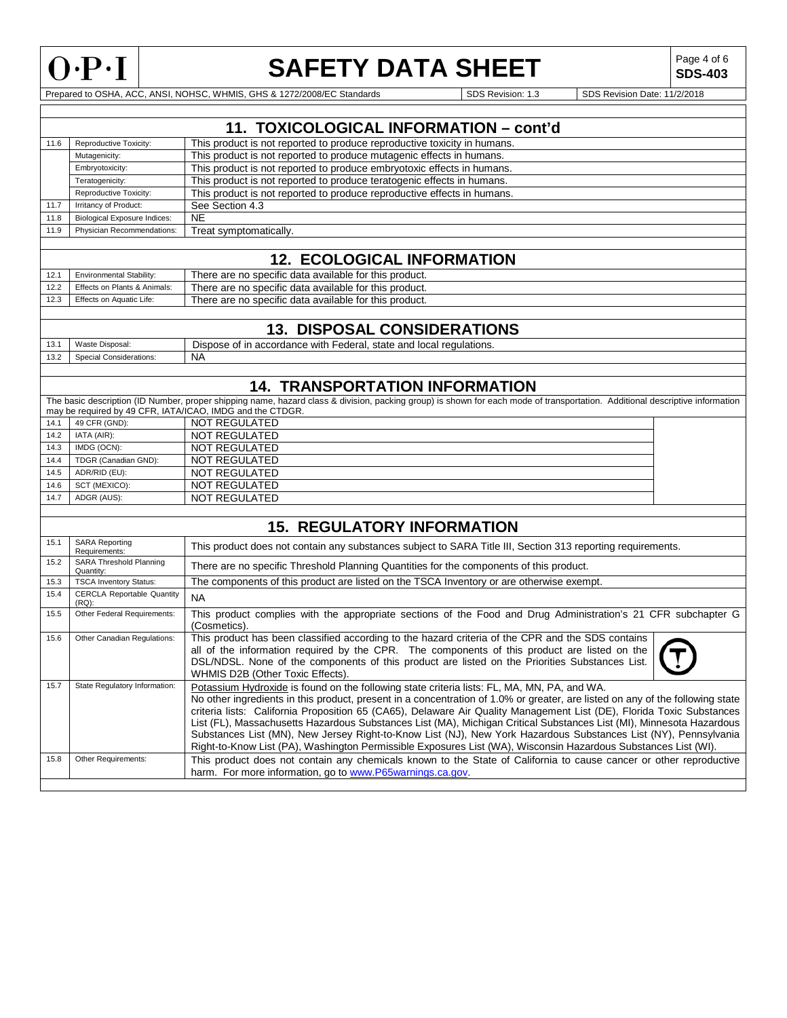

# **SAFETY DATA SHEET**  $\left|\begin{array}{c} \text{Page 4 of 6} \\ \text{SDS-403} \end{array}\right|$

**SDS-403**

Prepared to OSHA, ACC, ANSI, NOHSC, WHMIS, GHS & 1272/2008/EC Standards SDS Revision: 1.3 SDS Revision: 1.3 SDS Revision Date: 11/2/2018

|      | 11. TOXICOLOGICAL INFORMATION - cont'd |                                                                          |  |  |  |  |
|------|----------------------------------------|--------------------------------------------------------------------------|--|--|--|--|
| 11.6 | Reproductive Toxicity:                 | This product is not reported to produce reproductive toxicity in humans. |  |  |  |  |
|      | Mutagenicity:                          | This product is not reported to produce mutagenic effects in humans.     |  |  |  |  |
|      | Embryotoxicity:                        | This product is not reported to produce embryotoxic effects in humans.   |  |  |  |  |
|      | Teratogenicity:                        | This product is not reported to produce teratogenic effects in humans.   |  |  |  |  |
|      | Reproductive Toxicity:                 | This product is not reported to produce reproductive effects in humans.  |  |  |  |  |
| 11.7 | Irritancy of Product:                  | See Section 4.3                                                          |  |  |  |  |
| 11.8 | <b>Biological Exposure Indices:</b>    | NE.                                                                      |  |  |  |  |
| 11.9 | Physician Recommendations:             | Treat symptomatically.                                                   |  |  |  |  |
|      |                                        |                                                                          |  |  |  |  |
|      | <b>12. ECOLOGICAL INFORMATION</b>      |                                                                          |  |  |  |  |

| 12.1 | <b>Environmental Stability:</b> | There are no specific data available for this product. |
|------|---------------------------------|--------------------------------------------------------|
| 12.2 | Effects on Plants & Animals:    | There are no specific data available for this product. |
| 12.3 | Effects on Aquatic Life:        | There are no specific data available for this product. |

# **13. DISPOSAL CONSIDERATIONS**

| $\sim$<br>. ت | Disposal<br>/aste                        | regulations.<br>Federal.<br>and local ;<br>Dispose<br>state<br>rdance<br>with<br>.or |
|---------------|------------------------------------------|--------------------------------------------------------------------------------------|
| 122<br>ے.د ا  | Considerations:<br>:noris<br>,,,,,,,,,,, | NA                                                                                   |
|               |                                          |                                                                                      |

# **14. TRANSPORTATION INFORMATION**

|      |                      | The basic description (ID Number, proper shipping name, hazard class & division, packing group) is shown for each mode of transportation. Additional descriptive information |  |
|------|----------------------|------------------------------------------------------------------------------------------------------------------------------------------------------------------------------|--|
|      |                      | may be required by 49 CFR, IATA/ICAO, IMDG and the CTDGR.                                                                                                                    |  |
| 14.1 | 49 CFR (GND):        | NOT REGULATED                                                                                                                                                                |  |
| 14.2 | IATA (AIR):          | NOT REGULATED                                                                                                                                                                |  |
| 14.3 | IMDG (OCN):          | NOT REGULATED                                                                                                                                                                |  |
| 14.4 | TDGR (Canadian GND): | NOT REGULATED                                                                                                                                                                |  |
| 14.5 | ADR/RID (EU):        | NOT REGULATED                                                                                                                                                                |  |
| 14.6 | SCT (MEXICO):        | NOT REGULATED                                                                                                                                                                |  |
| 14.7 | ADGR (AUS):          | NOT REGULATED                                                                                                                                                                |  |

# **15. REGULATORY INFORMATION**

| 15.1 | <b>SARA Reporting</b><br>Requirements:        | This product does not contain any substances subject to SARA Title III, Section 313 reporting requirements.                                                                                                                                                                                                                                                                                                                                                                                                                                                                                                                                                                                                        |
|------|-----------------------------------------------|--------------------------------------------------------------------------------------------------------------------------------------------------------------------------------------------------------------------------------------------------------------------------------------------------------------------------------------------------------------------------------------------------------------------------------------------------------------------------------------------------------------------------------------------------------------------------------------------------------------------------------------------------------------------------------------------------------------------|
| 15.2 | SARA Threshold Planning<br>Quantity:          | There are no specific Threshold Planning Quantities for the components of this product.                                                                                                                                                                                                                                                                                                                                                                                                                                                                                                                                                                                                                            |
| 15.3 | <b>TSCA Inventory Status:</b>                 | The components of this product are listed on the TSCA Inventory or are otherwise exempt.                                                                                                                                                                                                                                                                                                                                                                                                                                                                                                                                                                                                                           |
| 15.4 | <b>CERCLA Reportable Quantity</b><br>$(RQ)$ : | <b>NA</b>                                                                                                                                                                                                                                                                                                                                                                                                                                                                                                                                                                                                                                                                                                          |
| 15.5 | Other Federal Requirements:                   | This product complies with the appropriate sections of the Food and Drug Administration's 21 CFR subchapter G<br>(Cosmetics).                                                                                                                                                                                                                                                                                                                                                                                                                                                                                                                                                                                      |
| 15.6 | Other Canadian Regulations:                   | This product has been classified according to the hazard criteria of the CPR and the SDS contains<br>all of the information required by the CPR. The components of this product are listed on the<br>DSL/NDSL. None of the components of this product are listed on the Priorities Substances List.<br>WHMIS D2B (Other Toxic Effects).                                                                                                                                                                                                                                                                                                                                                                            |
| 15.7 | State Regulatory Information:                 | Potassium Hydroxide is found on the following state criteria lists: FL, MA, MN, PA, and WA.<br>No other ingredients in this product, present in a concentration of 1.0% or greater, are listed on any of the following state<br>criteria lists: California Proposition 65 (CA65), Delaware Air Quality Management List (DE), Florida Toxic Substances<br>List (FL), Massachusetts Hazardous Substances List (MA), Michigan Critical Substances List (MI), Minnesota Hazardous<br>Substances List (MN), New Jersey Right-to-Know List (NJ), New York Hazardous Substances List (NY), Pennsylvania<br>Right-to-Know List (PA), Washington Permissible Exposures List (WA), Wisconsin Hazardous Substances List (WI). |
| 15.8 | Other Requirements:                           | This product does not contain any chemicals known to the State of California to cause cancer or other reproductive<br>harm. For more information, go to www.P65warnings.ca.gov.                                                                                                                                                                                                                                                                                                                                                                                                                                                                                                                                    |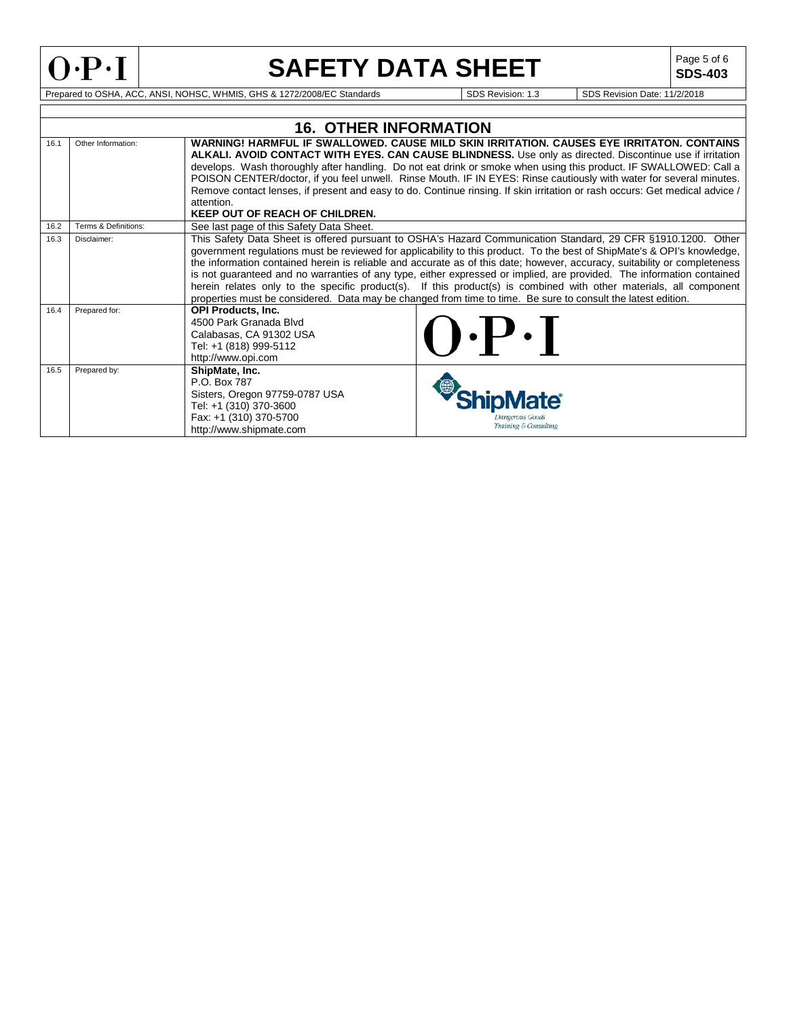

# **SAFETY DATA SHEET**

**SDS-403**

Prepared to OSHA, ACC, ANSI, NOHSC, WHMIS, GHS & 1272/2008/EC Standards SDS Revision: 1.3 SDS Revision Date: 11/2/2018

|      |                      | <b>16. OTHER INFORMATION</b>                                                                                                                    |                                                                                                                                                                                                                                                                                                                                                                                                                                                                                                                                                                                                                                                                                                                                     |
|------|----------------------|-------------------------------------------------------------------------------------------------------------------------------------------------|-------------------------------------------------------------------------------------------------------------------------------------------------------------------------------------------------------------------------------------------------------------------------------------------------------------------------------------------------------------------------------------------------------------------------------------------------------------------------------------------------------------------------------------------------------------------------------------------------------------------------------------------------------------------------------------------------------------------------------------|
| 16.1 | Other Information:   | attention.<br><b>KEEP OUT OF REACH OF CHILDREN.</b>                                                                                             | WARNING! HARMFUL IF SWALLOWED. CAUSE MILD SKIN IRRITATION. CAUSES EYE IRRITATON. CONTAINS<br><b>ALKALI. AVOID CONTACT WITH EYES. CAN CAUSE BLINDNESS.</b> Use only as directed. Discontinue use if irritation<br>develops. Wash thoroughly after handling. Do not eat drink or smoke when using this product. IF SWALLOWED: Call a<br>POISON CENTER/doctor, if you feel unwell. Rinse Mouth. IF IN EYES: Rinse cautiously with water for several minutes.<br>Remove contact lenses, if present and easy to do. Continue rinsing. If skin irritation or rash occurs: Get medical advice /                                                                                                                                            |
| 16.2 | Terms & Definitions: | See last page of this Safety Data Sheet.                                                                                                        |                                                                                                                                                                                                                                                                                                                                                                                                                                                                                                                                                                                                                                                                                                                                     |
| 16.3 | Disclaimer:          |                                                                                                                                                 | This Safety Data Sheet is offered pursuant to OSHA's Hazard Communication Standard, 29 CFR §1910.1200. Other<br>government regulations must be reviewed for applicability to this product. To the best of ShipMate's & OPI's knowledge,<br>the information contained herein is reliable and accurate as of this date; however, accuracy, suitability or completeness<br>is not guaranteed and no warranties of any type, either expressed or implied, are provided. The information contained<br>herein relates only to the specific product(s). If this product(s) is combined with other materials, all component<br>properties must be considered. Data may be changed from time to time. Be sure to consult the latest edition. |
| 16.4 | Prepared for:        | <b>OPI Products, Inc.</b><br>4500 Park Granada Blvd<br>Calabasas, CA 91302 USA<br>Tel: +1 (818) 999-5112<br>http://www.opi.com                  | $\mathbf{P} \cdot \mathbf{P}$                                                                                                                                                                                                                                                                                                                                                                                                                                                                                                                                                                                                                                                                                                       |
| 16.5 | Prepared by:         | ShipMate, Inc.<br>P.O. Box 787<br>Sisters, Oregon 97759-0787 USA<br>Tel: +1 (310) 370-3600<br>Fax: +1 (310) 370-5700<br>http://www.shipmate.com | kungerous Good<br>Training & Consulting                                                                                                                                                                                                                                                                                                                                                                                                                                                                                                                                                                                                                                                                                             |